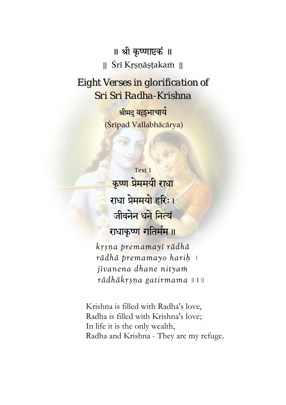॥ श्री कृष्णाष्टकं ॥  $\parallel$  Śrī Krsnāstakam  $\parallel$ 

*Eight Verses in glorification of Sri Sri Radha-Krishna*

> श्रीमद वल्लभाचार्य (Çrīpad Vallabhācārya)

Text 1 <mark>कृष्ण प्रेममयी राधा</mark> राधा प्रे<mark>ममयो</mark> हरिः। जीवनेन <mark>धने नित्य</mark>ं राधाकृष्ण गतिर्मम ॥

*kåñëa premamayé rädhä rädhä premamayo hariù* | *jévanena dhane nityaà*   $r\bar{a}dh\bar{a}k$ rsņa gatirmama || 1 ||

Krishna is filled with Radha's love, Radha is filled with Krishna's love; In life it is the only wealth, Radha and Krishna - They are my refuge.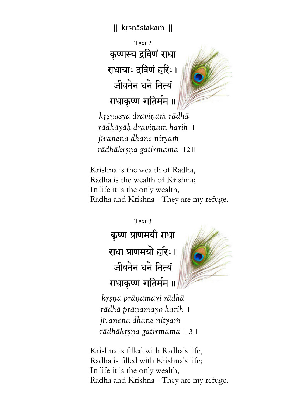Text 2 कृष्णस्य द्रविणं राधा राधायाः द्रविणं हरिः। जीवनेन धने नित्यं राधाकृष्ण गतिर्मम ॥



 *kåñëasya draviëaà rädhä*   $r\bar{a}$ dhāyāḥ draviņam hariḥ |  *jévanena dhane nityaà rädhäkåñëa gatirmama* || 2 ||

Krishna is the wealth of Radha, Radha is the wealth of Krishna; In life it is the only wealth, Radha and Krishna - They are my refuge.

> Text 3 कृष्ण प्राणमयी राधा राधा प्राणमयो हरिः । जीवनेन धने नित्यं राधाकृष्ण गतिर्मम ॥



*kåñëa präëamayé rädhä*   $r\bar{a}dh\bar{a}$  prāņamayo hariņ  *jévanena dhane nityaà rädhäkåñëa gatirmama* || 3 ||

Krishna is filled with Radha's life, Radha is filled with Krishna's life; In life it is the only wealth, Radha and Krishna - They are my refuge.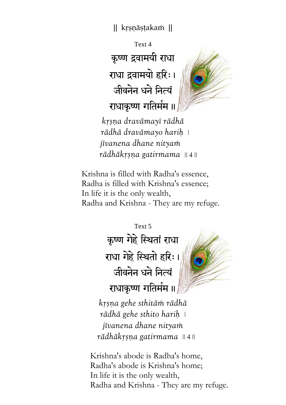Text 4 कृष्ण द्रवामयी राधा राधा द्रवामयो हरिः। जीवनेन धने नित्यं राधाकृष्ण गतिर्मम ॥



*kåñëa dravämayé rädhä rädhä dravämayo hariù* |  *jévanena dhane nityaà rādhākrsņa gatirmama* || 4 ||

Krishna is filled with Radha's essence, Radha is filled with Krishna's essence; In life it is the only wealth, Radha and Krishna - They are my refuge.

> Text 5 कृष्ण गेहे स्थितां राधा राधा गेहे स्थितो हरिः। जीवनेन धने नित्यं राधाकृष्ण गतिर्मम ॥

*kåñëa gehe sthitäà rädhä rädhä gehe sthito hariù* | *jévanena dhane nityaà rädhäkåñëa gatirmama* || 4 ||

Krishna's abode is Radha's home, Radha's abode is Krishna's home; In life it is the only wealth, Radha and Krishna - They are my refuge.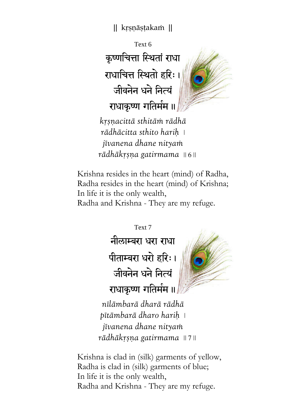Text 6 कृष्णचित्ता स्थितां राधा राधाचित्त स्थितो हरिः। जीवनेन धने नित्यं राधाकृष्ण गतिर्मम ॥



*kåñëacittä sthitäà rädhä rädhäcitta sthito hariù* | *jévanena dhane nityaà rädhäkåñëa gatirmama* || 6 ||

Krishna resides in the heart (mind) of Radha, Radha resides in the heart (mind) of Krishna; In life it is the only wealth, Radha and Krishna - They are my refuge.

> Text 7 नीलाम्बरा धरा राधा पीताम्बरा धरो हरिः। जीवनेन धने नित्यं राधाकृष्ण गतिर्मम ॥

*nélämbarä dharä rädhä pétämbarä dharo hariù* | *jévanena dhane nityaà rädhäkåñëa gatirmama* || 7 ||

Krishna is clad in (silk) garments of yellow, Radha is clad in (silk) garments of blue; In life it is the only wealth, Radha and Krishna - They are my refuge.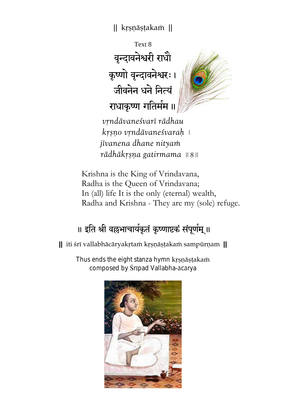Text 8 वृन्दावनेश्वरी राधौ कृष्णो वृन्दावनेश्वरः । जीवनेन धने नित्यं राधाकृष्ण गतिर्मम ॥



*våndävaneçvaré rädhau kåñëo våndävaneçvaraù* |  *jévanena dhane nityaà rädhäkåñëa gatirmama* || 8 ||

Krishna is the King of Vrindavana, Radha is the Queen of Vrindavana; In (all) life It is the only (eternal) wealth, Radha and Krishna - They are my (sole) refuge.

## ॥ इति श्री वल्लभाचार्यकृतं कृष्णाष्टकं संपूर्णम् ॥

**||** iti çré vallabhäcäryakåtaà kåñëäñöakaà sampürëam **||** 

Thus ends the eight stanza hymn krsnästakam composed by Śrīpad Vallabha-ācārya